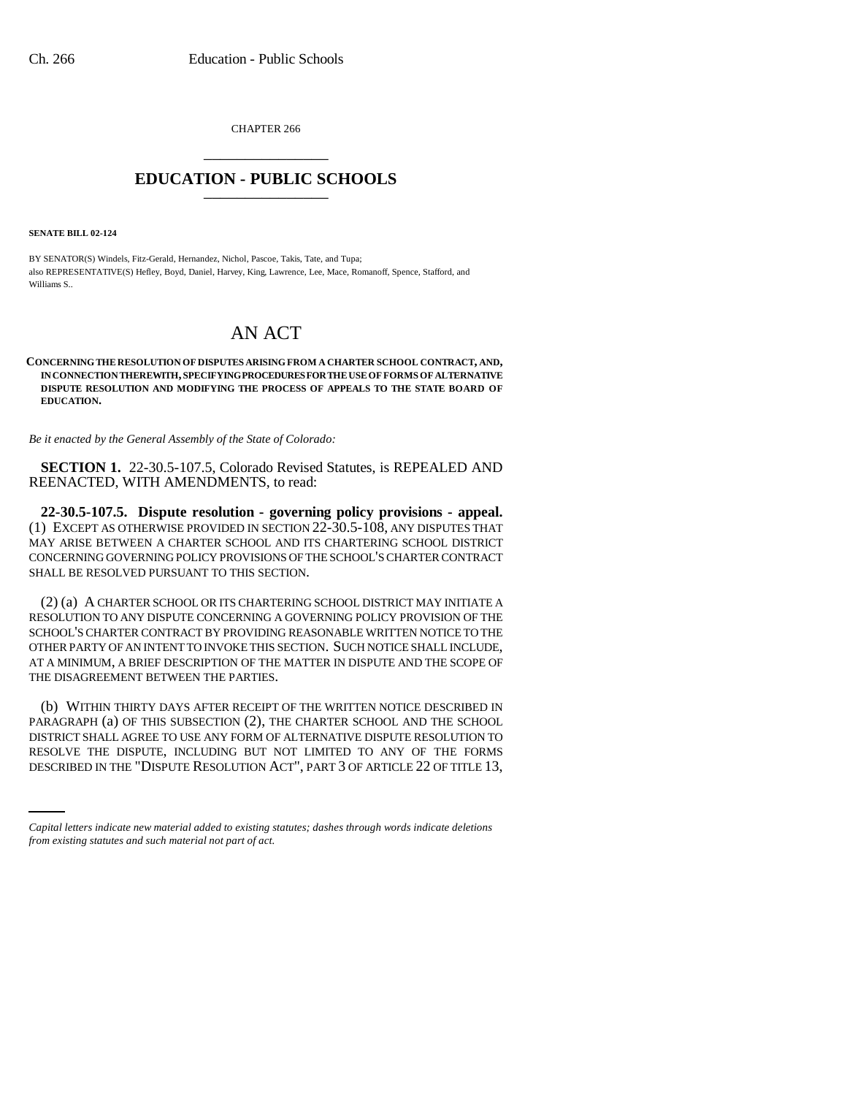CHAPTER 266 \_\_\_\_\_\_\_\_\_\_\_\_\_\_\_

## **EDUCATION - PUBLIC SCHOOLS** \_\_\_\_\_\_\_\_\_\_\_\_\_\_\_

**SENATE BILL 02-124**

BY SENATOR(S) Windels, Fitz-Gerald, Hernandez, Nichol, Pascoe, Takis, Tate, and Tupa; also REPRESENTATIVE(S) Hefley, Boyd, Daniel, Harvey, King, Lawrence, Lee, Mace, Romanoff, Spence, Stafford, and Williams S..

## AN ACT

**CONCERNING THE RESOLUTION OF DISPUTES ARISING FROM A CHARTER SCHOOL CONTRACT, AND, IN CONNECTION THEREWITH, SPECIFYING PROCEDURES FOR THE USE OF FORMS OF ALTERNATIVE DISPUTE RESOLUTION AND MODIFYING THE PROCESS OF APPEALS TO THE STATE BOARD OF EDUCATION.**

*Be it enacted by the General Assembly of the State of Colorado:*

**SECTION 1.** 22-30.5-107.5, Colorado Revised Statutes, is REPEALED AND REENACTED, WITH AMENDMENTS, to read:

**22-30.5-107.5. Dispute resolution - governing policy provisions - appeal.** (1) EXCEPT AS OTHERWISE PROVIDED IN SECTION 22-30.5-108, ANY DISPUTES THAT MAY ARISE BETWEEN A CHARTER SCHOOL AND ITS CHARTERING SCHOOL DISTRICT CONCERNING GOVERNING POLICY PROVISIONS OF THE SCHOOL'S CHARTER CONTRACT SHALL BE RESOLVED PURSUANT TO THIS SECTION.

(2) (a) A CHARTER SCHOOL OR ITS CHARTERING SCHOOL DISTRICT MAY INITIATE A RESOLUTION TO ANY DISPUTE CONCERNING A GOVERNING POLICY PROVISION OF THE SCHOOL'S CHARTER CONTRACT BY PROVIDING REASONABLE WRITTEN NOTICE TO THE OTHER PARTY OF AN INTENT TO INVOKE THIS SECTION. SUCH NOTICE SHALL INCLUDE, AT A MINIMUM, A BRIEF DESCRIPTION OF THE MATTER IN DISPUTE AND THE SCOPE OF THE DISAGREEMENT BETWEEN THE PARTIES.

DISTRICT SHALL AGREE TO USE ANY FORM OF ALTERNATIVE DISPUTE RESOLUTION TO (b) WITHIN THIRTY DAYS AFTER RECEIPT OF THE WRITTEN NOTICE DESCRIBED IN PARAGRAPH (a) OF THIS SUBSECTION (2), THE CHARTER SCHOOL AND THE SCHOOL RESOLVE THE DISPUTE, INCLUDING BUT NOT LIMITED TO ANY OF THE FORMS DESCRIBED IN THE "DISPUTE RESOLUTION ACT", PART 3 OF ARTICLE 22 OF TITLE 13,

*Capital letters indicate new material added to existing statutes; dashes through words indicate deletions from existing statutes and such material not part of act.*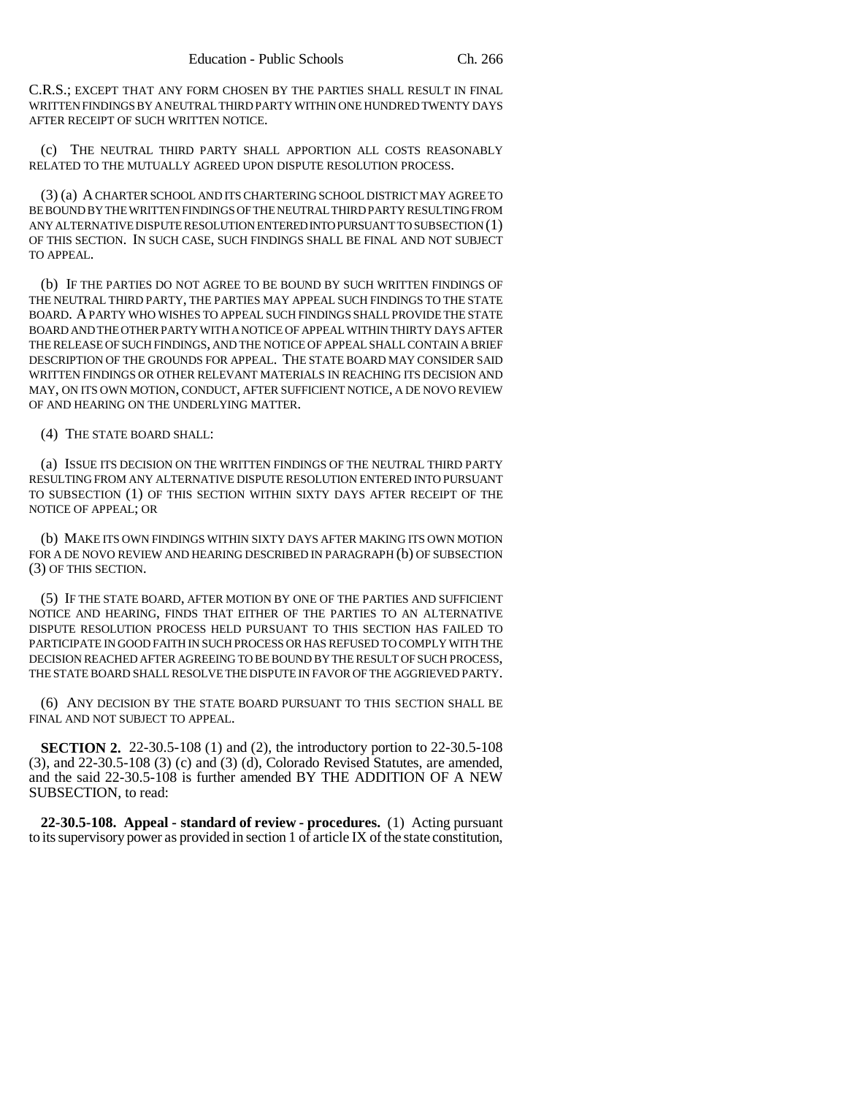C.R.S.; EXCEPT THAT ANY FORM CHOSEN BY THE PARTIES SHALL RESULT IN FINAL WRITTEN FINDINGS BY A NEUTRAL THIRD PARTY WITHIN ONE HUNDRED TWENTY DAYS AFTER RECEIPT OF SUCH WRITTEN NOTICE.

(c) THE NEUTRAL THIRD PARTY SHALL APPORTION ALL COSTS REASONABLY RELATED TO THE MUTUALLY AGREED UPON DISPUTE RESOLUTION PROCESS.

(3) (a) A CHARTER SCHOOL AND ITS CHARTERING SCHOOL DISTRICT MAY AGREE TO BE BOUND BY THE WRITTEN FINDINGS OF THE NEUTRAL THIRD PARTY RESULTING FROM ANY ALTERNATIVE DISPUTE RESOLUTION ENTERED INTO PURSUANT TO SUBSECTION (1) OF THIS SECTION. IN SUCH CASE, SUCH FINDINGS SHALL BE FINAL AND NOT SUBJECT TO APPEAL.

(b) IF THE PARTIES DO NOT AGREE TO BE BOUND BY SUCH WRITTEN FINDINGS OF THE NEUTRAL THIRD PARTY, THE PARTIES MAY APPEAL SUCH FINDINGS TO THE STATE BOARD. A PARTY WHO WISHES TO APPEAL SUCH FINDINGS SHALL PROVIDE THE STATE BOARD AND THE OTHER PARTY WITH A NOTICE OF APPEAL WITHIN THIRTY DAYS AFTER THE RELEASE OF SUCH FINDINGS, AND THE NOTICE OF APPEAL SHALL CONTAIN A BRIEF DESCRIPTION OF THE GROUNDS FOR APPEAL. THE STATE BOARD MAY CONSIDER SAID WRITTEN FINDINGS OR OTHER RELEVANT MATERIALS IN REACHING ITS DECISION AND MAY, ON ITS OWN MOTION, CONDUCT, AFTER SUFFICIENT NOTICE, A DE NOVO REVIEW OF AND HEARING ON THE UNDERLYING MATTER.

(4) THE STATE BOARD SHALL:

(a) ISSUE ITS DECISION ON THE WRITTEN FINDINGS OF THE NEUTRAL THIRD PARTY RESULTING FROM ANY ALTERNATIVE DISPUTE RESOLUTION ENTERED INTO PURSUANT TO SUBSECTION (1) OF THIS SECTION WITHIN SIXTY DAYS AFTER RECEIPT OF THE NOTICE OF APPEAL; OR

(b) MAKE ITS OWN FINDINGS WITHIN SIXTY DAYS AFTER MAKING ITS OWN MOTION FOR A DE NOVO REVIEW AND HEARING DESCRIBED IN PARAGRAPH (b) OF SUBSECTION (3) OF THIS SECTION.

(5) IF THE STATE BOARD, AFTER MOTION BY ONE OF THE PARTIES AND SUFFICIENT NOTICE AND HEARING, FINDS THAT EITHER OF THE PARTIES TO AN ALTERNATIVE DISPUTE RESOLUTION PROCESS HELD PURSUANT TO THIS SECTION HAS FAILED TO PARTICIPATE IN GOOD FAITH IN SUCH PROCESS OR HAS REFUSED TO COMPLY WITH THE DECISION REACHED AFTER AGREEING TO BE BOUND BY THE RESULT OF SUCH PROCESS, THE STATE BOARD SHALL RESOLVE THE DISPUTE IN FAVOR OF THE AGGRIEVED PARTY.

(6) ANY DECISION BY THE STATE BOARD PURSUANT TO THIS SECTION SHALL BE FINAL AND NOT SUBJECT TO APPEAL.

**SECTION 2.** 22-30.5-108 (1) and (2), the introductory portion to 22-30.5-108 (3), and 22-30.5-108 (3) (c) and (3) (d), Colorado Revised Statutes, are amended, and the said 22-30.5-108 is further amended BY THE ADDITION OF A NEW SUBSECTION, to read:

**22-30.5-108. Appeal - standard of review - procedures.** (1) Acting pursuant to its supervisory power as provided in section 1 of article IX of the state constitution,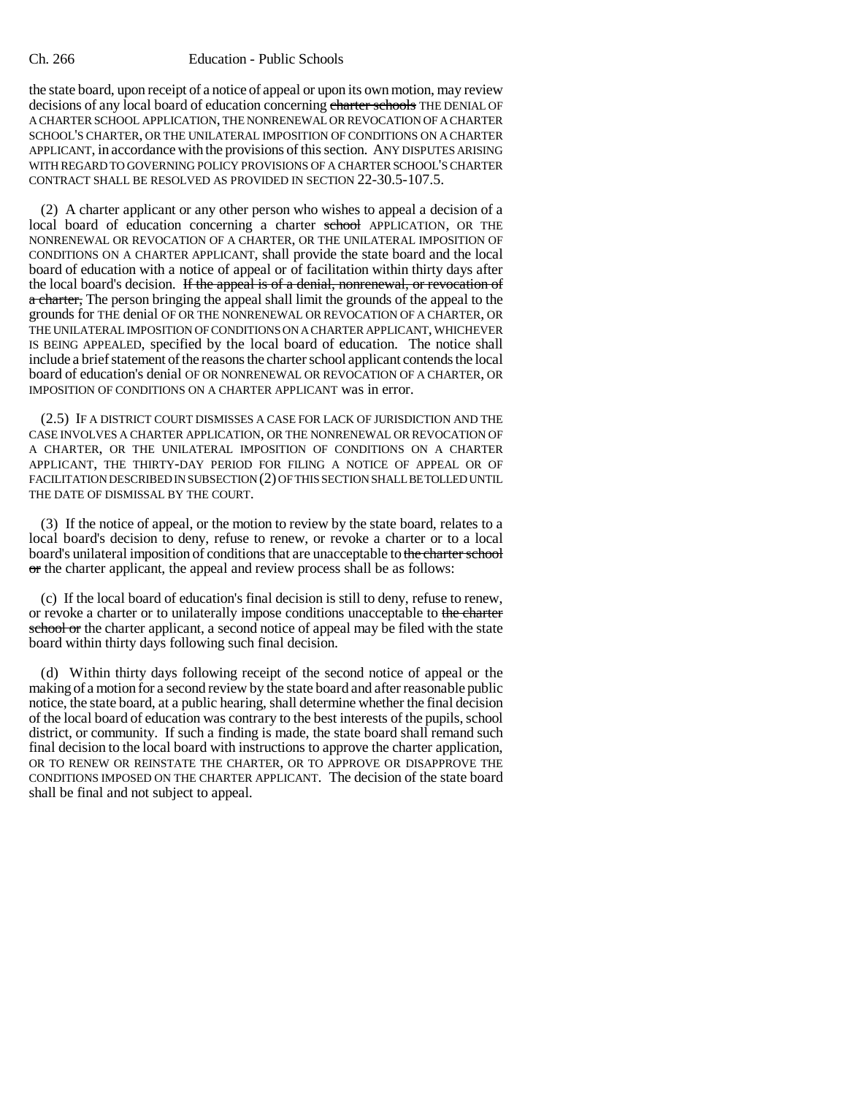the state board, upon receipt of a notice of appeal or upon its own motion, may review decisions of any local board of education concerning charter schools THE DENIAL OF A CHARTER SCHOOL APPLICATION, THE NONRENEWAL OR REVOCATION OF A CHARTER SCHOOL'S CHARTER, OR THE UNILATERAL IMPOSITION OF CONDITIONS ON A CHARTER APPLICANT, in accordance with the provisions of this section. ANY DISPUTES ARISING WITH REGARD TO GOVERNING POLICY PROVISIONS OF A CHARTER SCHOOL'S CHARTER CONTRACT SHALL BE RESOLVED AS PROVIDED IN SECTION 22-30.5-107.5.

(2) A charter applicant or any other person who wishes to appeal a decision of a local board of education concerning a charter school APPLICATION, OR THE NONRENEWAL OR REVOCATION OF A CHARTER, OR THE UNILATERAL IMPOSITION OF CONDITIONS ON A CHARTER APPLICANT, shall provide the state board and the local board of education with a notice of appeal or of facilitation within thirty days after the local board's decision. If the appeal is of a denial, nonrenewal, or revocation of a charter, The person bringing the appeal shall limit the grounds of the appeal to the grounds for THE denial OF OR THE NONRENEWAL OR REVOCATION OF A CHARTER, OR THE UNILATERAL IMPOSITION OF CONDITIONS ON A CHARTER APPLICANT, WHICHEVER IS BEING APPEALED, specified by the local board of education. The notice shall include a brief statement of the reasons the charter school applicant contends the local board of education's denial OF OR NONRENEWAL OR REVOCATION OF A CHARTER, OR IMPOSITION OF CONDITIONS ON A CHARTER APPLICANT was in error.

(2.5) IF A DISTRICT COURT DISMISSES A CASE FOR LACK OF JURISDICTION AND THE CASE INVOLVES A CHARTER APPLICATION, OR THE NONRENEWAL OR REVOCATION OF A CHARTER, OR THE UNILATERAL IMPOSITION OF CONDITIONS ON A CHARTER APPLICANT, THE THIRTY-DAY PERIOD FOR FILING A NOTICE OF APPEAL OR OF FACILITATION DESCRIBED IN SUBSECTION (2) OF THIS SECTION SHALL BE TOLLED UNTIL THE DATE OF DISMISSAL BY THE COURT.

(3) If the notice of appeal, or the motion to review by the state board, relates to a local board's decision to deny, refuse to renew, or revoke a charter or to a local board's unilateral imposition of conditions that are unacceptable to the charter school  $\sigma$ r the charter applicant, the appeal and review process shall be as follows:

(c) If the local board of education's final decision is still to deny, refuse to renew, or revoke a charter or to unilaterally impose conditions unacceptable to the charter school or the charter applicant, a second notice of appeal may be filed with the state board within thirty days following such final decision.

(d) Within thirty days following receipt of the second notice of appeal or the making of a motion for a second review by the state board and after reasonable public notice, the state board, at a public hearing, shall determine whether the final decision of the local board of education was contrary to the best interests of the pupils, school district, or community. If such a finding is made, the state board shall remand such final decision to the local board with instructions to approve the charter application, OR TO RENEW OR REINSTATE THE CHARTER, OR TO APPROVE OR DISAPPROVE THE CONDITIONS IMPOSED ON THE CHARTER APPLICANT. The decision of the state board shall be final and not subject to appeal.